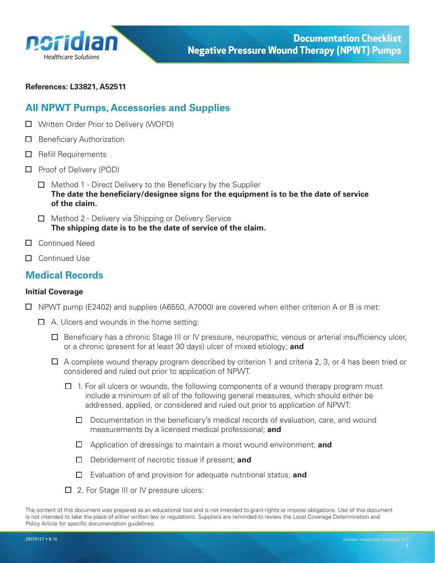<span id="page-0-0"></span>

**References: L33821, A52511** 

# **All NPWT Pumps, Accessories and Supplies**

- Written Order Prior to Delivery (WOPD)
- $\Box$  Beneficiary Authorization
- $\Box$  Refill Requirements
- $\Box$  Proof of Delivery (POD)
	- $\Box$  Method 1 Direct Delivery to the Beneficiary by the Supplier **The date the beneficiary/designee signs for the equipment is to be the date of service of the claim.**
	- $\Box$  Method 2 Delivery via Shipping or Delivery Service **The shipping date is to be the date of service of the claim.**
- □ Continued Need
- □ Continued Use

### **Medical Records**

#### **Initial Coverage**

- $\Box$  NPWT pump (E2402) and supplies (A6550, A7000) are covered when either criterion A or B is met:
	- $\Box$  A. Ulcers and wounds in the home setting:
		- $\Box$  Beneficiary has a chronic Stage III or IV pressure, neuropathic, venous or arterial insufficiency ulcer, or a chronic (present for at least 30 days) ulcer of mixed etiology; **and**
		- $\Box$  A complete wound therapy program described by criterion 1 and criteria 2, 3, or 4 has been tried or considered and ruled out prior to application of NPWT.
			- $\Box$  1. For all ulcers or wounds, the following components of a wound therapy program must include a minimum of all of the following general measures, which should either be addressed, applied, or considered and ruled out prior to application of NPWT:
				- $\Box$  Documentation in the beneficiary's medical records of evaluation, care, and wound measurements by a licensed medical professional; **and**
				- Application of dressings to maintain a moist wound environment; **and**
				- Debridement of necrotic tissue if present; **and**
				- Evaluation of and provision for adequate nutritional status; **and**
			- □ 2. For Stage III or IV pressure ulcers:

The content of this document was prepared as an educational tool and is not intended to grant rights or impose obligations. Use of this document is not intended to take the place of either written law or regulations. Suppliers are reminded to review the Local Coverage Determination and Policy Article for specific documentation guidelines.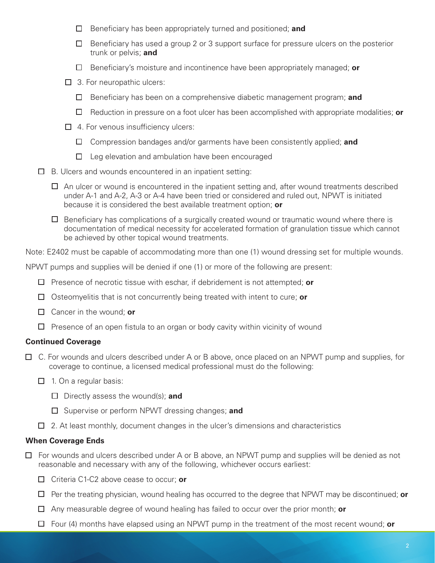- Beneficiary has been appropriately turned and positioned; **and**
- $\Box$  Beneficiary has used a group 2 or 3 support surface for pressure ulcers on the posterior trunk or pelvis; **and**
- Beneficiary's moisture and incontinence have been appropriately managed; **or**
- $\Box$  3. For neuropathic ulcers:
	- Beneficiary has been on a comprehensive diabetic management program; **and**
	- Reduction in pressure on a foot ulcer has been accomplished with appropriate modalities; **or**
- $\Box$  4. For venous insufficiency ulcers:
	- Compression bandages and/or garments have been consistently applied; **and**
	- $\Box$  Leg elevation and ambulation have been encouraged
- $\Box$  B. Ulcers and wounds encountered in an inpatient setting:
	- $\Box$  An ulcer or wound is encountered in the inpatient setting and, after wound treatments described under A-1 and A-2, A-3 or A-4 have been tried or considered and ruled out, NPWT is initiated because it is considered the best available treatment option; **or**
	- $\Box$  Beneficiary has complications of a surgically created wound or traumatic wound where there is documentation of medical necessity for accelerated formation of granulation tissue which cannot be achieved by other topical wound treatments.

Note: E2402 must be capable of accommodating more than one (1) wound dressing set for multiple wounds.

NPWT pumps and supplies will be denied if one (1) or more of the following are present:

- Presence of necrotic tissue with eschar, if debridement is not attempted; **or**
- Osteomyelitis that is not concurrently being treated with intent to cure; **or**
- Cancer in the wound; **or**
- $\Box$  Presence of an open fistula to an organ or body cavity within vicinity of wound

#### **Continued Coverage**

- $\Box$  C. For wounds and ulcers described under A or B above, once placed on an NPWT pump and supplies, for coverage to continue, a licensed medical professional must do the following:
	- $\Box$  1. On a regular basis:
		- Directly assess the wound(s); **and**
		- Supervise or perform NPWT dressing changes; **and**
	- $\Box$  2. At least monthly, document changes in the ulcer's dimensions and characteristics

#### **When Coverage Ends**

- $\Box$  For wounds and ulcers described under A or B above, an NPWT pump and supplies will be denied as not reasonable and necessary with any of the following, whichever occurs earliest:
	- Criteria C1-C2 above cease to occur; **or**
	- Per the treating physician, wound healing has occurred to the degree that NPWT may be discontinued; **or**
	- Any measurable degree of wound healing has failed to occur over the prior month; **or**
	- Four (4) months have elapsed using an NPWT pump in the treatment of the most recent wound; **or**